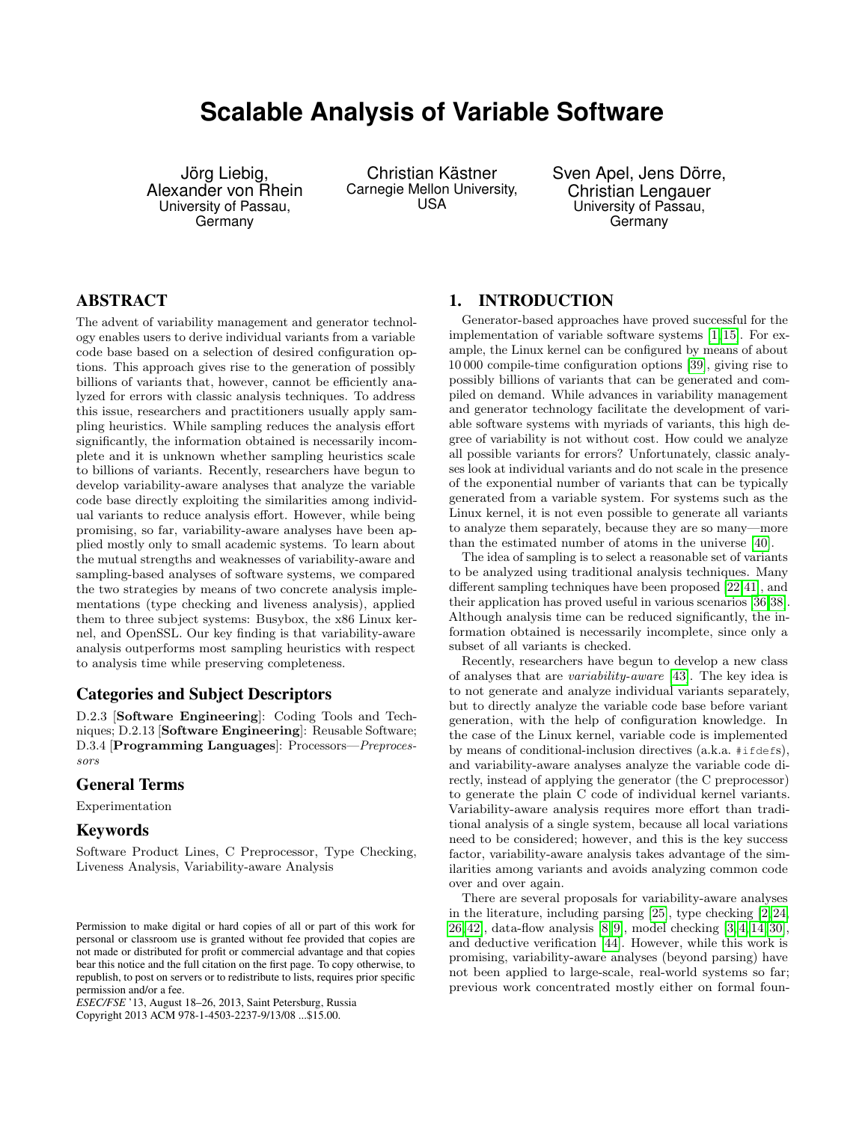# **Scalable Analysis of Variable Software**

Jörg Liebig, Alexander von Rhein University of Passau, Germany

Christian Kästner Carnegie Mellon University, USA

Sven Apel, Jens Dörre, Christian Lengauer University of Passau, Germany

# ABSTRACT

The advent of variability management and generator technology enables users to derive individual variants from a variable code base based on a selection of desired configuration options. This approach gives rise to the generation of possibly billions of variants that, however, cannot be efficiently analyzed for errors with classic analysis techniques. To address this issue, researchers and practitioners usually apply sampling heuristics. While sampling reduces the analysis effort significantly, the information obtained is necessarily incomplete and it is unknown whether sampling heuristics scale to billions of variants. Recently, researchers have begun to develop variability-aware analyses that analyze the variable code base directly exploiting the similarities among individual variants to reduce analysis effort. However, while being promising, so far, variability-aware analyses have been applied mostly only to small academic systems. To learn about the mutual strengths and weaknesses of variability-aware and sampling-based analyses of software systems, we compared the two strategies by means of two concrete analysis implementations (type checking and liveness analysis), applied them to three subject systems: Busybox, the x86 Linux kernel, and OpenSSL. Our key finding is that variability-aware analysis outperforms most sampling heuristics with respect to analysis time while preserving completeness.

#### Categories and Subject Descriptors

D.2.3 [Software Engineering]: Coding Tools and Techniques; D.2.13 [Software Engineering]: Reusable Software; D.3.4 [Programming Languages]: Processors—Preprocessors

#### General Terms

Experimentation

#### Keywords

Software Product Lines, C Preprocessor, Type Checking, Liveness Analysis, Variability-aware Analysis

*ESEC/FSE* '13, August 18–26, 2013, Saint Petersburg, Russia Copyright 2013 ACM 978-1-4503-2237-9/13/08 ...\$15.00.

#### 1. INTRODUCTION

Generator-based approaches have proved successful for the implementation of variable software systems [\[1,](#page-9-0) [15\]](#page-9-1). For example, the Linux kernel can be configured by means of about 10 000 compile-time configuration options [\[39\]](#page-10-0), giving rise to possibly billions of variants that can be generated and compiled on demand. While advances in variability management and generator technology facilitate the development of variable software systems with myriads of variants, this high degree of variability is not without cost. How could we analyze all possible variants for errors? Unfortunately, classic analyses look at individual variants and do not scale in the presence of the exponential number of variants that can be typically generated from a variable system. For systems such as the Linux kernel, it is not even possible to generate all variants to analyze them separately, because they are so many—more than the estimated number of atoms in the universe [\[40\]](#page-10-1).

The idea of sampling is to select a reasonable set of variants to be analyzed using traditional analysis techniques. Many different sampling techniques have been proposed [\[22,](#page-10-2)[41\]](#page-10-3), and their application has proved useful in various scenarios [\[36,](#page-10-4)[38\]](#page-10-5). Although analysis time can be reduced significantly, the information obtained is necessarily incomplete, since only a subset of all variants is checked.

Recently, researchers have begun to develop a new class of analyses that are variability-aware [\[43\]](#page-10-6). The key idea is to not generate and analyze individual variants separately, but to directly analyze the variable code base before variant generation, with the help of configuration knowledge. In the case of the Linux kernel, variable code is implemented by means of conditional-inclusion directives (a.k.a. #ifdefs), and variability-aware analyses analyze the variable code directly, instead of applying the generator (the C preprocessor) to generate the plain C code of individual kernel variants. Variability-aware analysis requires more effort than traditional analysis of a single system, because all local variations need to be considered; however, and this is the key success factor, variability-aware analysis takes advantage of the similarities among variants and avoids analyzing common code over and over again.

There are several proposals for variability-aware analyses in the literature, including parsing [\[25\]](#page-10-7), type checking [\[2,](#page-9-2) [24,](#page-10-8) [26,](#page-10-9) [42\]](#page-10-10), data-flow analysis [\[8,](#page-9-3) [9\]](#page-9-4), model checking [\[3,](#page-9-5) [4,](#page-9-6) [14,](#page-9-7) [30\]](#page-10-11), and deductive verification [\[44\]](#page-10-12). However, while this work is promising, variability-aware analyses (beyond parsing) have not been applied to large-scale, real-world systems so far; previous work concentrated mostly either on formal foun-

Permission to make digital or hard copies of all or part of this work for personal or classroom use is granted without fee provided that copies are not made or distributed for profit or commercial advantage and that copies bear this notice and the full citation on the first page. To copy otherwise, to republish, to post on servers or to redistribute to lists, requires prior specific permission and/or a fee.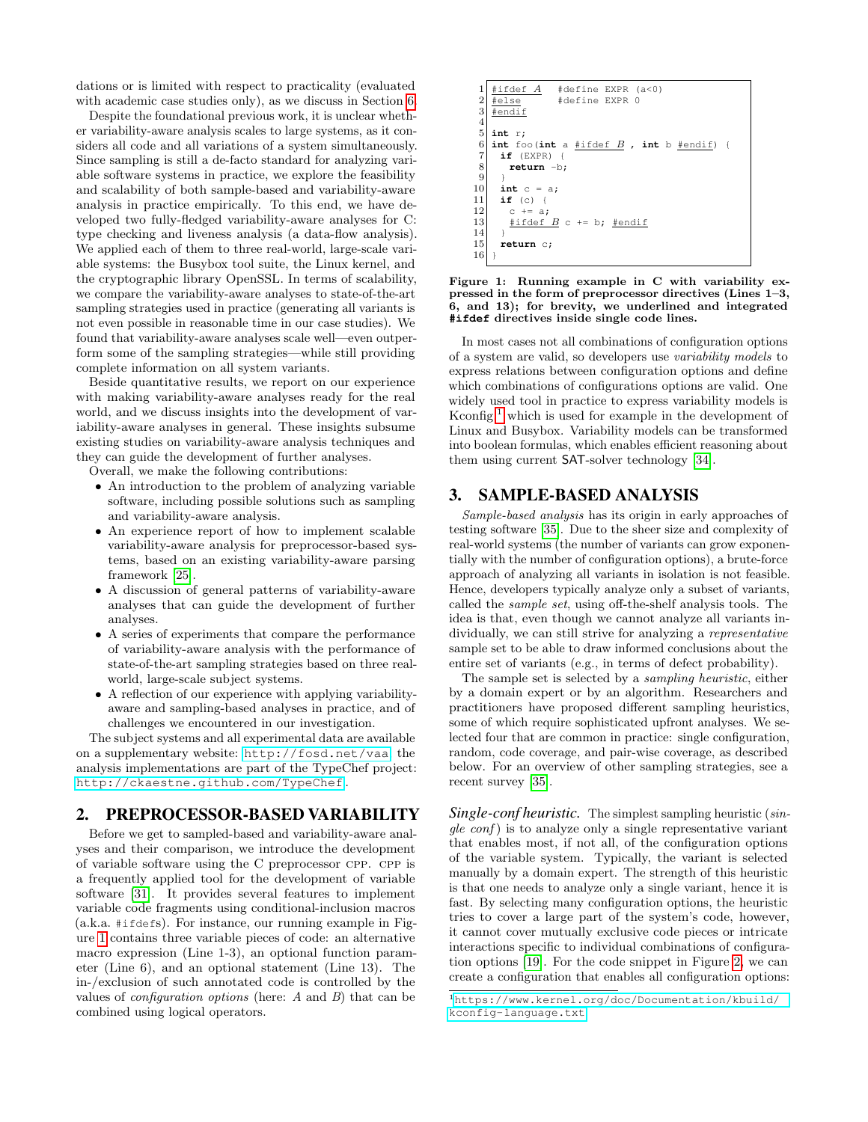dations or is limited with respect to practicality (evaluated with academic case studies only), as we discuss in Section [6.](#page-8-0)

Despite the foundational previous work, it is unclear whether variability-aware analysis scales to large systems, as it considers all code and all variations of a system simultaneously. Since sampling is still a de-facto standard for analyzing variable software systems in practice, we explore the feasibility and scalability of both sample-based and variability-aware analysis in practice empirically. To this end, we have developed two fully-fledged variability-aware analyses for C: type checking and liveness analysis (a data-flow analysis). We applied each of them to three real-world, large-scale variable systems: the Busybox tool suite, the Linux kernel, and the cryptographic library OpenSSL. In terms of scalability, we compare the variability-aware analyses to state-of-the-art sampling strategies used in practice (generating all variants is not even possible in reasonable time in our case studies). We found that variability-aware analyses scale well—even outperform some of the sampling strategies—while still providing complete information on all system variants.

Beside quantitative results, we report on our experience with making variability-aware analyses ready for the real world, and we discuss insights into the development of variability-aware analyses in general. These insights subsume existing studies on variability-aware analysis techniques and they can guide the development of further analyses.

Overall, we make the following contributions:

- An introduction to the problem of analyzing variable software, including possible solutions such as sampling and variability-aware analysis.
- An experience report of how to implement scalable variability-aware analysis for preprocessor-based systems, based on an existing variability-aware parsing framework [\[25\]](#page-10-7).
- A discussion of general patterns of variability-aware analyses that can guide the development of further analyses.
- A series of experiments that compare the performance of variability-aware analysis with the performance of state-of-the-art sampling strategies based on three realworld, large-scale subject systems.
- A reflection of our experience with applying variabilityaware and sampling-based analyses in practice, and of challenges we encountered in our investigation.

The subject systems and all experimental data are available on a supplementary website: <http://fosd.net/vaa>; the analysis implementations are part of the TypeChef project: <http://ckaestne.github.com/TypeChef> .

# 2. PREPROCESSOR-BASED VARIABILITY

Before we get to sampled-based and variability-aware analyses and their comparison, we introduce the development of variable software using the C preprocessor cpp. cpp is a frequently applied tool for the development of variable software [\[31\]](#page-10-13). It provides several features to implement variable code fragments using conditional-inclusion macros (a.k.a. #ifdefs). For instance, our running example in Figure [1](#page-1-0) contains three variable pieces of code: an alternative macro expression (Line 1-3), an optional function parameter (Line 6), and an optional statement (Line 13). The in-/exclusion of such annotated code is controlled by the values of *configuration options* (here:  $A$  and  $B$ ) that can be combined using logical operators.

```
\frac{1}{2} \frac{\text{#ifdef } A}{\text{#else}} #define EXPR (a<0)
  \frac{2}{3} \frac{\text{Helse}}{\text{tendif}} #define EXPR 0
        3 #endif
  \frac{4}{5}5 int r;
  \begin{bmatrix} 6 \\ 7 \end{bmatrix} if \begin{bmatrix} 6 \text{ K} \text{ F} \\ \text{F} \end{bmatrix} if \begin{bmatrix} 6 \text{ K} \text{ F} \\ \text{F} \end{bmatrix} if \begin{bmatrix} 6 \text{ K} \text{ F} \\ \text{F} \end{bmatrix}if (EXPR) {
                8 return -b;
 \frac{8}{9}10 int c = a;
11 if (c) {<br>12 c += a:
\begin{array}{c|c}\n 12 & c & \text{--} = a; \\
 13 & \text{#ifdef}\n \end{array}#ifdef B c += b; #endif
1415 return c;
16 }
```
<span id="page-1-0"></span>Figure 1: Running example in C with variability expressed in the form of preprocessor directives (Lines 1–3, 6, and 13); for brevity, we underlined and integrated **#ifdef** directives inside single code lines.

In most cases not all combinations of configuration options of a system are valid, so developers use variability models to express relations between configuration options and define which combinations of configurations options are valid. One widely used tool in practice to express variability models is Kconfig, $\frac{1}{1}$  $\frac{1}{1}$  $\frac{1}{1}$  which is used for example in the development of Linux and Busybox. Variability models can be transformed into boolean formulas, which enables efficient reasoning about them using current SAT-solver technology [\[34\]](#page-10-14).

# <span id="page-1-2"></span>3. SAMPLE-BASED ANALYSIS

Sample-based analysis has its origin in early approaches of testing software [\[35\]](#page-10-15). Due to the sheer size and complexity of real-world systems (the number of variants can grow exponentially with the number of configuration options), a brute-force approach of analyzing all variants in isolation is not feasible. Hence, developers typically analyze only a subset of variants, called the sample set, using off-the-shelf analysis tools. The idea is that, even though we cannot analyze all variants individually, we can still strive for analyzing a representative sample set to be able to draw informed conclusions about the entire set of variants (e.g., in terms of defect probability).

The sample set is selected by a sampling heuristic, either by a domain expert or by an algorithm. Researchers and practitioners have proposed different sampling heuristics, some of which require sophisticated upfront analyses. We selected four that are common in practice: single configuration, random, code coverage, and pair-wise coverage, as described below. For an overview of other sampling strategies, see a recent survey [\[35\]](#page-10-15).

*Single-conf heuristic.* The simplest sampling heuristic (sin $gle\ conf)$  is to analyze only a single representative variant that enables most, if not all, of the configuration options of the variable system. Typically, the variant is selected manually by a domain expert. The strength of this heuristic is that one needs to analyze only a single variant, hence it is fast. By selecting many configuration options, the heuristic tries to cover a large part of the system's code, however, it cannot cover mutually exclusive code pieces or intricate interactions specific to individual combinations of configuration options [\[19\]](#page-10-16). For the code snippet in Figure [2,](#page-2-0) we can create a configuration that enables all configuration options:

<span id="page-1-1"></span><sup>1</sup>[https://www.kernel.org/doc/Documentation/kbuild/](https://www.kernel.org/doc/Documentation/kbuild/kconfig-language.txt) [kconfig-language.txt](https://www.kernel.org/doc/Documentation/kbuild/kconfig-language.txt)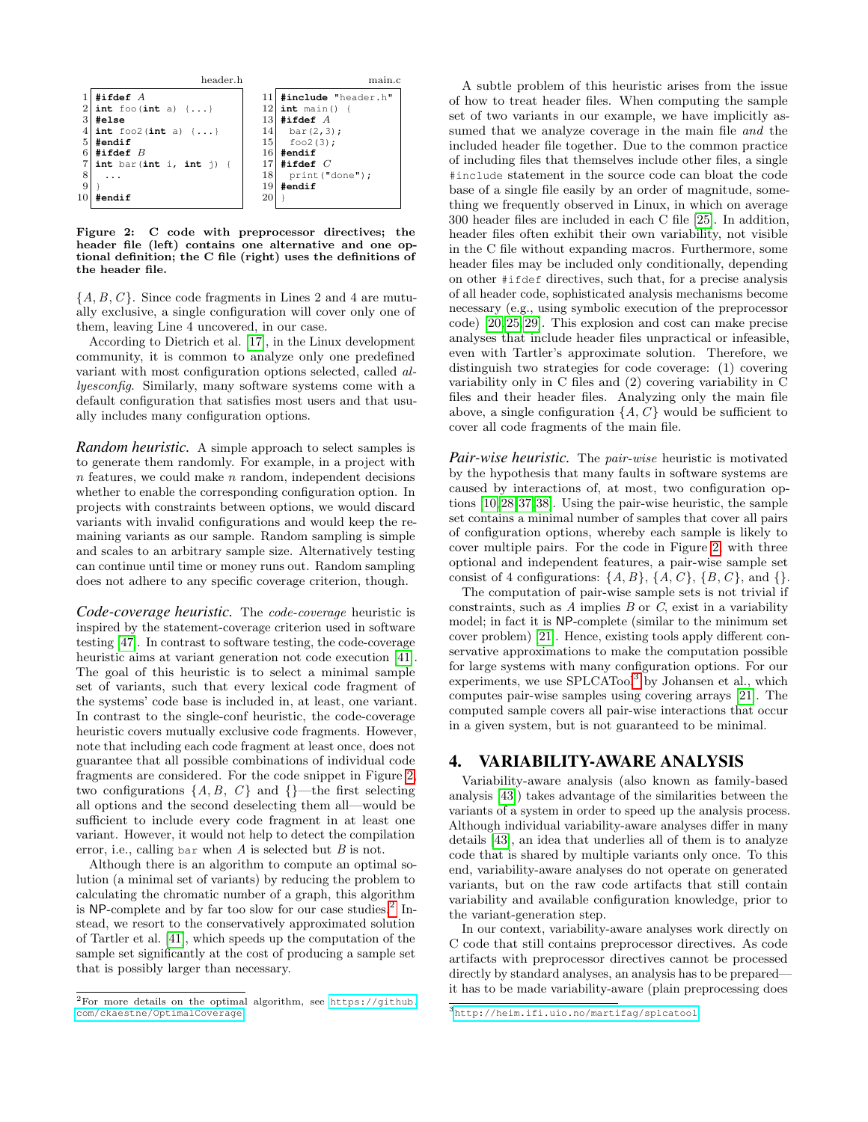

<span id="page-2-0"></span>Figure 2: C code with preprocessor directives; the header file (left) contains one alternative and one optional definition; the C file (right) uses the definitions of the header file.

 $\{A, B, C\}$ . Since code fragments in Lines 2 and 4 are mutually exclusive, a single configuration will cover only one of them, leaving Line 4 uncovered, in our case.

According to Dietrich et al. [\[17\]](#page-9-8), in the Linux development community, it is common to analyze only one predefined variant with most configuration options selected, called allyesconfig. Similarly, many software systems come with a default configuration that satisfies most users and that usually includes many configuration options.

*Random heuristic.* A simple approach to select samples is to generate them randomly. For example, in a project with  $n$  features, we could make  $n$  random, independent decisions whether to enable the corresponding configuration option. In projects with constraints between options, we would discard variants with invalid configurations and would keep the remaining variants as our sample. Random sampling is simple and scales to an arbitrary sample size. Alternatively testing can continue until time or money runs out. Random sampling does not adhere to any specific coverage criterion, though.

*Code-coverage heuristic.* The code-coverage heuristic is inspired by the statement-coverage criterion used in software testing [\[47\]](#page-10-17). In contrast to software testing, the code-coverage heuristic aims at variant generation not code execution [\[41\]](#page-10-3). The goal of this heuristic is to select a minimal sample set of variants, such that every lexical code fragment of the systems' code base is included in, at least, one variant. In contrast to the single-conf heuristic, the code-coverage heuristic covers mutually exclusive code fragments. However, note that including each code fragment at least once, does not guarantee that all possible combinations of individual code fragments are considered. For the code snippet in Figure [2,](#page-2-0) two configurations  $\{A, B, C\}$  and  $\{\}$ —the first selecting all options and the second deselecting them all—would be sufficient to include every code fragment in at least one variant. However, it would not help to detect the compilation error, i.e., calling bar when  $A$  is selected but  $B$  is not.

Although there is an algorithm to compute an optimal solution (a minimal set of variants) by reducing the problem to calculating the chromatic number of a graph, this algorithm is NP-complete and by far too slow for our case studies.<sup>[2](#page-2-1)</sup> Instead, we resort to the conservatively approximated solution of Tartler et al. [\[41\]](#page-10-3), which speeds up the computation of the sample set significantly at the cost of producing a sample set that is possibly larger than necessary.

A subtle problem of this heuristic arises from the issue of how to treat header files. When computing the sample set of two variants in our example, we have implicitly assumed that we analyze coverage in the main file and the included header file together. Due to the common practice of including files that themselves include other files, a single #include statement in the source code can bloat the code base of a single file easily by an order of magnitude, something we frequently observed in Linux, in which on average 300 header files are included in each C file [\[25\]](#page-10-7). In addition, header files often exhibit their own variability, not visible in the C file without expanding macros. Furthermore, some header files may be included only conditionally, depending on other #ifdef directives, such that, for a precise analysis of all header code, sophisticated analysis mechanisms become necessary (e.g., using symbolic execution of the preprocessor code) [\[20,](#page-10-18) [25,](#page-10-7) [29\]](#page-10-19). This explosion and cost can make precise analyses that include header files unpractical or infeasible, even with Tartler's approximate solution. Therefore, we distinguish two strategies for code coverage: (1) covering variability only in C files and (2) covering variability in C files and their header files. Analyzing only the main file above, a single configuration  $\{A, C\}$  would be sufficient to cover all code fragments of the main file.

*Pair-wise heuristic.* The pair-wise heuristic is motivated by the hypothesis that many faults in software systems are caused by interactions of, at most, two configuration options [\[10,](#page-9-9)[28,](#page-10-20)[37,](#page-10-21)[38\]](#page-10-5). Using the pair-wise heuristic, the sample set contains a minimal number of samples that cover all pairs of configuration options, whereby each sample is likely to cover multiple pairs. For the code in Figure [2,](#page-2-0) with three optional and independent features, a pair-wise sample set consist of 4 configurations:  $\{A, B\}$ ,  $\{A, C\}$ ,  $\{B, C\}$ , and  $\{\}.$ 

The computation of pair-wise sample sets is not trivial if constraints, such as  $A$  implies  $B$  or  $C$ , exist in a variability model; in fact it is NP-complete (similar to the minimum set cover problem) [\[21\]](#page-10-22). Hence, existing tools apply different conservative approximations to make the computation possible for large systems with many configuration options. For our experiments, we use  $SPLCATool<sup>3</sup>$  $SPLCATool<sup>3</sup>$  $SPLCATool<sup>3</sup>$  by Johansen et al., which computes pair-wise samples using covering arrays [\[21\]](#page-10-22). The computed sample covers all pair-wise interactions that occur in a given system, but is not guaranteed to be minimal.

## <span id="page-2-3"></span>4. VARIABILITY-AWARE ANALYSIS

Variability-aware analysis (also known as family-based analysis [\[43\]](#page-10-6)) takes advantage of the similarities between the variants of a system in order to speed up the analysis process. Although individual variability-aware analyses differ in many details [\[43\]](#page-10-6), an idea that underlies all of them is to analyze code that is shared by multiple variants only once. To this end, variability-aware analyses do not operate on generated variants, but on the raw code artifacts that still contain variability and available configuration knowledge, prior to the variant-generation step.

In our context, variability-aware analyses work directly on C code that still contains preprocessor directives. As code artifacts with preprocessor directives cannot be processed directly by standard analyses, an analysis has to be preparedit has to be made variability-aware (plain preprocessing does

<span id="page-2-1"></span> $2\overline{P_{\text{O}}r}$  more details on the optimal algorithm, see [https://github.](https://github.com/ckaestne/OptimalCoverage) [com/ckaestne/OptimalCoverage](https://github.com/ckaestne/OptimalCoverage).

<span id="page-2-2"></span><sup>3</sup><http://heim.ifi.uio.no/martifag/splcatool>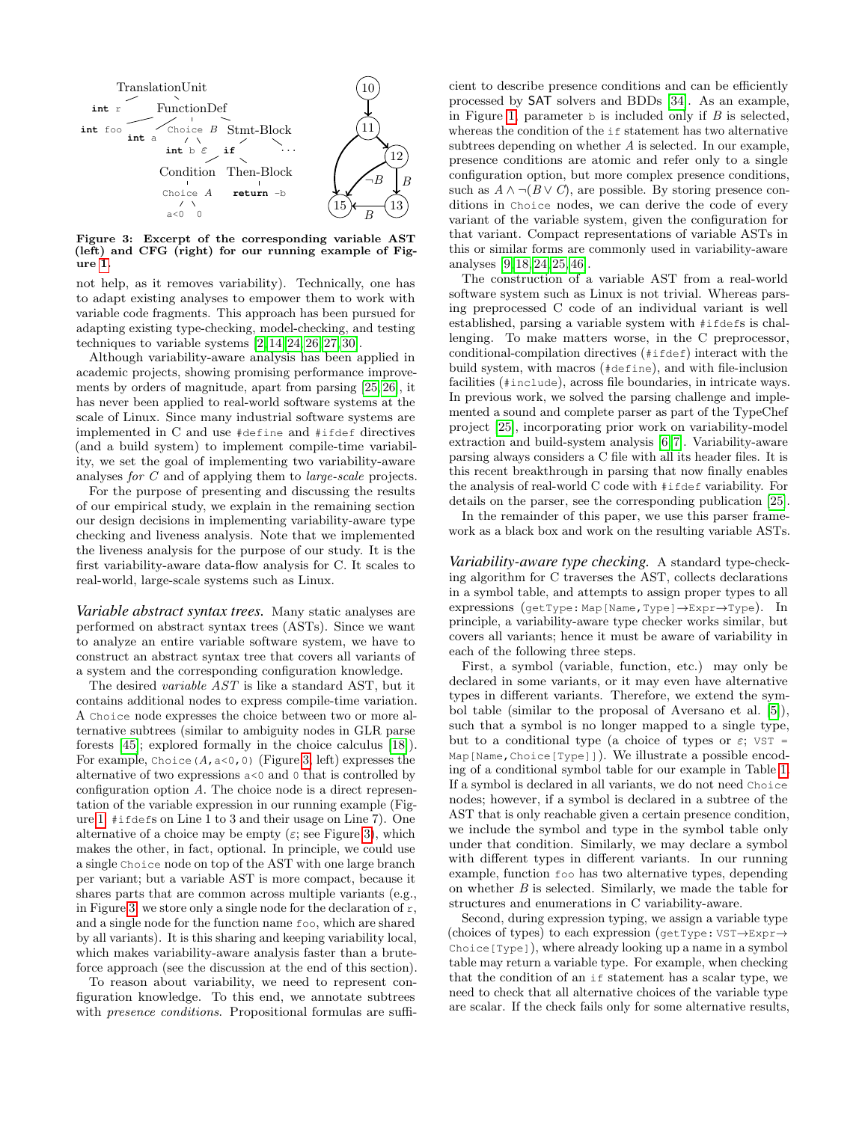

<span id="page-3-0"></span>Figure 3: Excerpt of the corresponding variable AST (left) and CFG (right) for our running example of Figure [1.](#page-1-0)

not help, as it removes variability). Technically, one has to adapt existing analyses to empower them to work with variable code fragments. This approach has been pursued for adapting existing type-checking, model-checking, and testing techniques to variable systems [\[2,](#page-9-2) [14,](#page-9-7) [24,](#page-10-8) [26,](#page-10-9) [27,](#page-10-23) [30\]](#page-10-11).

Although variability-aware analysis has been applied in academic projects, showing promising performance improvements by orders of magnitude, apart from parsing [\[25,](#page-10-7) [26\]](#page-10-9), it has never been applied to real-world software systems at the scale of Linux. Since many industrial software systems are implemented in C and use #define and #ifdef directives (and a build system) to implement compile-time variability, we set the goal of implementing two variability-aware analyses for C and of applying them to large-scale projects.

For the purpose of presenting and discussing the results of our empirical study, we explain in the remaining section our design decisions in implementing variability-aware type checking and liveness analysis. Note that we implemented the liveness analysis for the purpose of our study. It is the first variability-aware data-flow analysis for C. It scales to real-world, large-scale systems such as Linux.

*Variable abstract syntax trees.* Many static analyses are performed on abstract syntax trees (ASTs). Since we want to analyze an entire variable software system, we have to construct an abstract syntax tree that covers all variants of a system and the corresponding configuration knowledge.

The desired variable AST is like a standard AST, but it contains additional nodes to express compile-time variation. A Choice node expresses the choice between two or more alternative subtrees (similar to ambiguity nodes in GLR parse forests [\[45\]](#page-10-24); explored formally in the choice calculus [\[18\]](#page-10-25)). For example, Choice  $(A, a<0, 0)$  (Figure [3,](#page-3-0) left) expresses the alternative of two expressions  $a < 0$  and 0 that is controlled by configuration option A. The choice node is a direct representation of the variable expression in our running example (Figure [1;](#page-1-0) #ifdefs on Line 1 to 3 and their usage on Line 7). One alternative of a choice may be empty ( $\varepsilon$ ; see Figure [3\)](#page-3-0), which makes the other, in fact, optional. In principle, we could use a single Choice node on top of the AST with one large branch per variant; but a variable AST is more compact, because it shares parts that are common across multiple variants (e.g., in Figure [3,](#page-3-0) we store only a single node for the declaration of  $r$ , and a single node for the function name foo, which are shared by all variants). It is this sharing and keeping variability local, which makes variability-aware analysis faster than a bruteforce approach (see the discussion at the end of this section).

To reason about variability, we need to represent configuration knowledge. To this end, we annotate subtrees with *presence conditions*. Propositional formulas are sufficient to describe presence conditions and can be efficiently processed by SAT solvers and BDDs [\[34\]](#page-10-14). As an example, in Figure [1,](#page-1-0) parameter  $\triangleright$  is included only if  $B$  is selected, whereas the condition of the if statement has two alternative subtrees depending on whether A is selected. In our example, presence conditions are atomic and refer only to a single configuration option, but more complex presence conditions, such as  $A \wedge \neg (B \vee C)$ , are possible. By storing presence conditions in Choice nodes, we can derive the code of every variant of the variable system, given the configuration for that variant. Compact representations of variable ASTs in this or similar forms are commonly used in variability-aware analyses [\[9,](#page-9-4) [18,](#page-10-25) [24,](#page-10-8) [25,](#page-10-7) [46\]](#page-10-26).

The construction of a variable AST from a real-world software system such as Linux is not trivial. Whereas parsing preprocessed C code of an individual variant is well established, parsing a variable system with #ifdefs is challenging. To make matters worse, in the C preprocessor, conditional-compilation directives (#ifdef) interact with the build system, with macros (#define), and with file-inclusion facilities (#include), across file boundaries, in intricate ways. In previous work, we solved the parsing challenge and implemented a sound and complete parser as part of the TypeChef project [\[25\]](#page-10-7), incorporating prior work on variability-model extraction and build-system analysis [\[6,](#page-9-10) [7\]](#page-9-11). Variability-aware parsing always considers a C file with all its header files. It is this recent breakthrough in parsing that now finally enables the analysis of real-world C code with #ifdef variability. For details on the parser, see the corresponding publication [\[25\]](#page-10-7).

In the remainder of this paper, we use this parser framework as a black box and work on the resulting variable ASTs.

*Variability-aware type checking.* A standard type-checking algorithm for C traverses the AST, collects declarations in a symbol table, and attempts to assign proper types to all expressions (getType: Map[Name,Type]→Expr→Type). In principle, a variability-aware type checker works similar, but covers all variants; hence it must be aware of variability in each of the following three steps.

First, a symbol (variable, function, etc.) may only be declared in some variants, or it may even have alternative types in different variants. Therefore, we extend the symbol table (similar to the proposal of Aversano et al. [\[5\]](#page-9-12)), such that a symbol is no longer mapped to a single type, but to a conditional type (a choice of types or  $\varepsilon$ ; VST = Map[Name, Choice[Type]]). We illustrate a possible encoding of a conditional symbol table for our example in Table [1.](#page-4-0) If a symbol is declared in all variants, we do not need Choice nodes; however, if a symbol is declared in a subtree of the AST that is only reachable given a certain presence condition, we include the symbol and type in the symbol table only under that condition. Similarly, we may declare a symbol with different types in different variants. In our running example, function foo has two alternative types, depending on whether  $B$  is selected. Similarly, we made the table for structures and enumerations in C variability-aware.

Second, during expression typing, we assign a variable type (choices of types) to each expression (getType: VST→Expr→ Choice[Type]), where already looking up a name in a symbol table may return a variable type. For example, when checking that the condition of an if statement has a scalar type, we need to check that all alternative choices of the variable type are scalar. If the check fails only for some alternative results,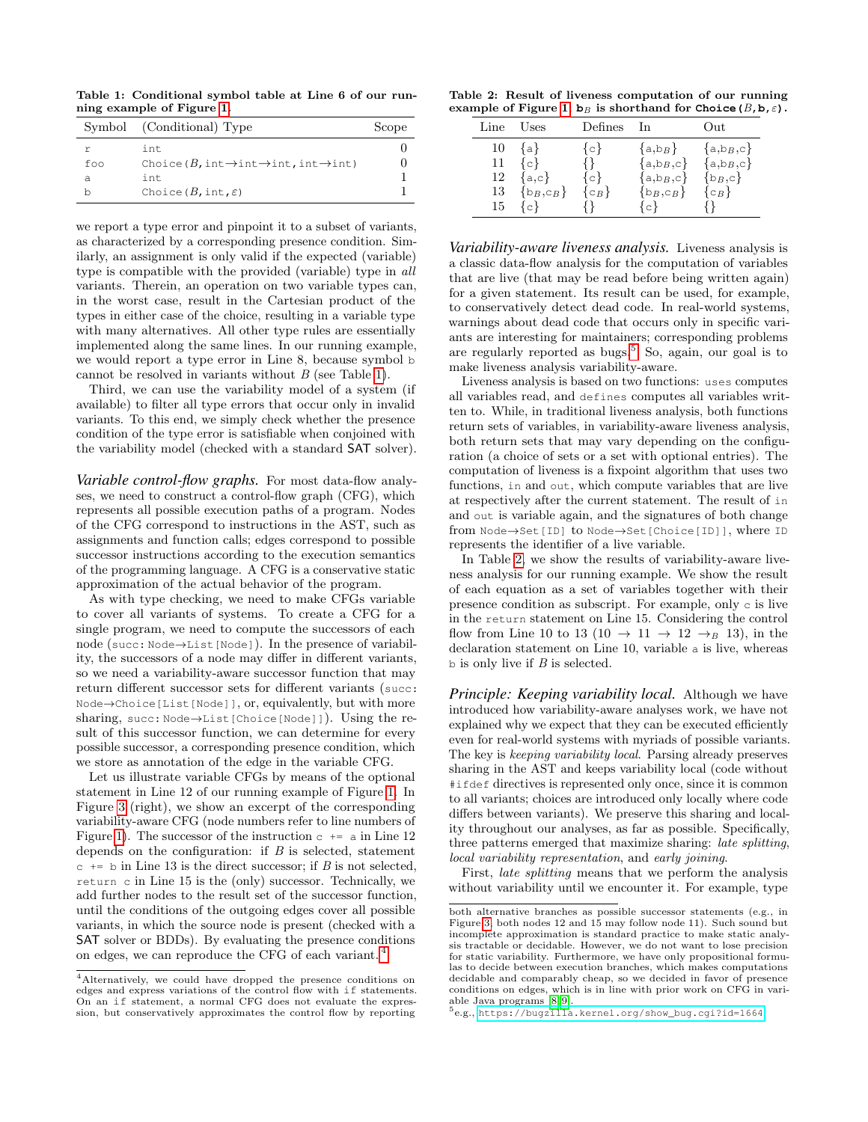<span id="page-4-0"></span>Table 1: Conditional symbol table at Line 6 of our running example of Figure [1.](#page-1-0)

|     | Symbol (Conditional) Type                                              | Scope |
|-----|------------------------------------------------------------------------|-------|
| r   | int                                                                    |       |
| foo | Choice $(B, int \rightarrow int \rightarrow int, int \rightarrow int)$ |       |
| a   | int                                                                    |       |
| h   | Choice $(B, int, \varepsilon)$                                         |       |

we report a type error and pinpoint it to a subset of variants, as characterized by a corresponding presence condition. Similarly, an assignment is only valid if the expected (variable) type is compatible with the provided (variable) type in all variants. Therein, an operation on two variable types can, in the worst case, result in the Cartesian product of the types in either case of the choice, resulting in a variable type with many alternatives. All other type rules are essentially implemented along the same lines. In our running example, we would report a type error in Line 8, because symbol b cannot be resolved in variants without  $B$  (see Table [1\)](#page-4-0).

Third, we can use the variability model of a system (if available) to filter all type errors that occur only in invalid variants. To this end, we simply check whether the presence condition of the type error is satisfiable when conjoined with the variability model (checked with a standard SAT solver).

*Variable control-flow graphs.* For most data-flow analyses, we need to construct a control-flow graph (CFG), which represents all possible execution paths of a program. Nodes of the CFG correspond to instructions in the AST, such as assignments and function calls; edges correspond to possible successor instructions according to the execution semantics of the programming language. A CFG is a conservative static approximation of the actual behavior of the program.

As with type checking, we need to make CFGs variable to cover all variants of systems. To create a CFG for a single program, we need to compute the successors of each node (succ: Node→List[Node]). In the presence of variability, the successors of a node may differ in different variants, so we need a variability-aware successor function that may return different successor sets for different variants (succ: Node→Choice[List[Node]], or, equivalently, but with more sharing, succ: Node→List[Choice[Node]]). Using the result of this successor function, we can determine for every possible successor, a corresponding presence condition, which we store as annotation of the edge in the variable CFG.

Let us illustrate variable CFGs by means of the optional statement in Line 12 of our running example of Figure [1.](#page-1-0) In Figure [3](#page-3-0) (right), we show an excerpt of the corresponding variability-aware CFG (node numbers refer to line numbers of Figure [1\)](#page-1-0). The successor of the instruction  $c \neq a$  in Line 12 depends on the configuration: if  $B$  is selected, statement  $c \rightarrow$  b in Line 13 is the direct successor; if B is not selected, return c in Line 15 is the (only) successor. Technically, we add further nodes to the result set of the successor function, until the conditions of the outgoing edges cover all possible variants, in which the source node is present (checked with a SAT solver or BDDs). By evaluating the presence conditions on edges, we can reproduce the CFG of each variant. [4](#page-4-1)

Table 2: Result of liveness computation of our running example of Figure [1;](#page-1-0)  $b_B$  is shorthand for Choice( $B$ ,  $b$ , $\varepsilon$ ).

<span id="page-4-3"></span>

| Line                       | Uses                                            | Defines                            | In.                                                                      | Out                                                      |
|----------------------------|-------------------------------------------------|------------------------------------|--------------------------------------------------------------------------|----------------------------------------------------------|
| 10<br>11<br>12<br>13<br>15 | {a}<br>łc∤<br>$\{a,c\}$<br>$\{b_B,c_B\}$<br>{c} | $\{c\}$<br>⊀ ⊱<br>{c}<br>$\{c_B\}$ | $\{a,bB\}$<br>$\{a,b_B,c\}$<br>$\{a,b_B,c\}$<br>$\{b_B,c_B\}$<br>$\{c\}$ | $\{a,bB,c\}$<br>$\{a,b, c\}$<br>$\{b_B,c\}$<br>$\{c_B\}$ |
|                            |                                                 |                                    |                                                                          |                                                          |

*Variability-aware liveness analysis.* Liveness analysis is a classic data-flow analysis for the computation of variables that are live (that may be read before being written again) for a given statement. Its result can be used, for example, to conservatively detect dead code. In real-world systems, warnings about dead code that occurs only in specific variants are interesting for maintainers; corresponding problems are regularly reported as bugs.<sup>[5](#page-4-2)</sup> So, again, our goal is to make liveness analysis variability-aware.

Liveness analysis is based on two functions: uses computes all variables read, and defines computes all variables written to. While, in traditional liveness analysis, both functions return sets of variables, in variability-aware liveness analysis, both return sets that may vary depending on the configuration (a choice of sets or a set with optional entries). The computation of liveness is a fixpoint algorithm that uses two functions, in and out, which compute variables that are live at respectively after the current statement. The result of in and out is variable again, and the signatures of both change from Node→Set[ID] to Node→Set[Choice[ID]], where ID represents the identifier of a live variable.

In Table [2,](#page-4-3) we show the results of variability-aware liveness analysis for our running example. We show the result of each equation as a set of variables together with their presence condition as subscript. For example, only c is live in the return statement on Line 15. Considering the control flow from Line 10 to 13 (10  $\rightarrow$  11  $\rightarrow$  12  $\rightarrow$  B 13), in the declaration statement on Line 10, variable a is live, whereas  $b$  is only live if  $B$  is selected.

*Principle: Keeping variability local.* Although we have introduced how variability-aware analyses work, we have not explained why we expect that they can be executed efficiently even for real-world systems with myriads of possible variants. The key is keeping variability local. Parsing already preserves sharing in the AST and keeps variability local (code without #ifdef directives is represented only once, since it is common to all variants; choices are introduced only locally where code differs between variants). We preserve this sharing and locality throughout our analyses, as far as possible. Specifically, three patterns emerged that maximize sharing: late splitting, local variability representation, and early joining.

First, late splitting means that we perform the analysis without variability until we encounter it. For example, type

<span id="page-4-1"></span><sup>4</sup>Alternatively, we could have dropped the presence conditions on edges and express variations of the control flow with if statements. On an if statement, a normal CFG does not evaluate the expression, but conservatively approximates the control flow by reporting

both alternative branches as possible successor statements (e.g., in Figure [3,](#page-3-0) both nodes 12 and 15 may follow node 11). Such sound but incomplete approximation is standard practice to make static analysis tractable or decidable. However, we do not want to lose precision for static variability. Furthermore, we have only propositional formulas to decide between execution branches, which makes computations decidable and comparably cheap, so we decided in favor of presence conditions on edges, which is in line with prior work on CFG in variable Java programs [\[8,](#page-9-3) [9\]](#page-9-4).

<span id="page-4-2"></span><sup>5</sup> e.g., [https://bugzilla.kernel.org/show\\_bug.cgi?id=1664](https://bugzilla.kernel.org/show_bug.cgi?id=1664).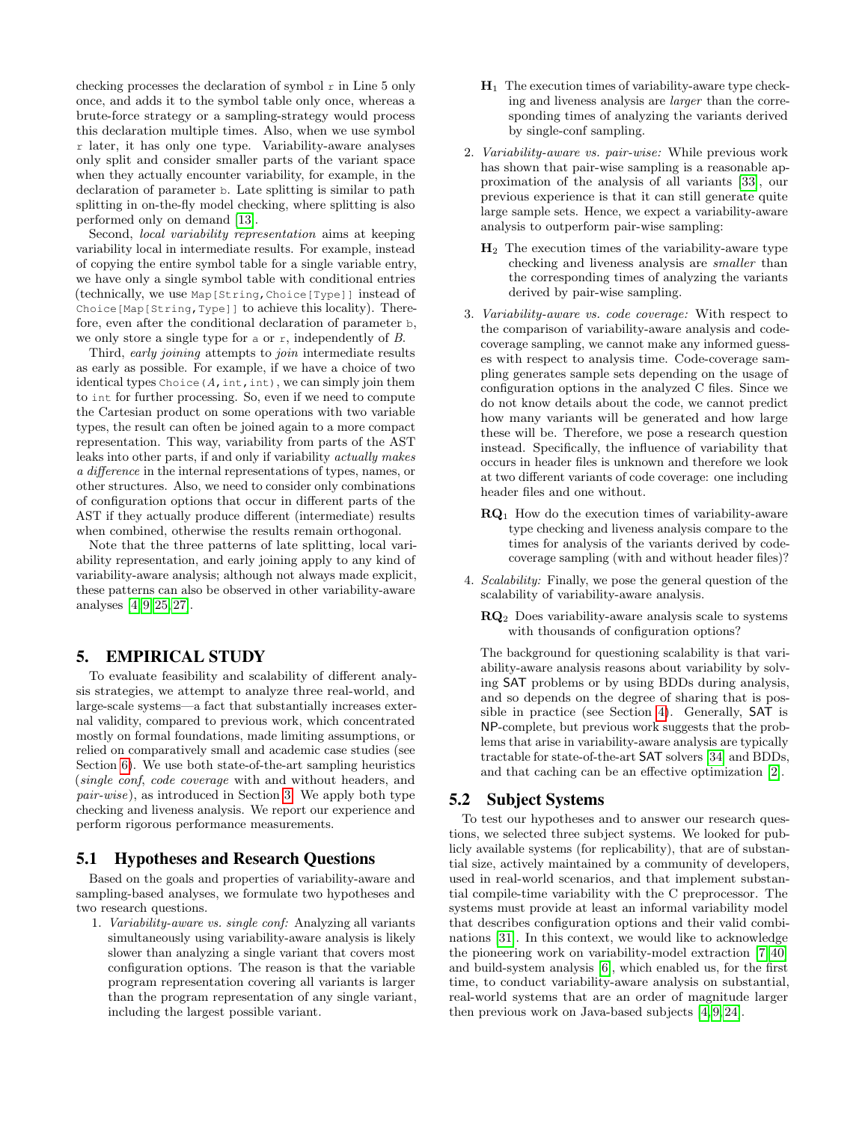checking processes the declaration of symbol  $r$  in Line 5 only once, and adds it to the symbol table only once, whereas a brute-force strategy or a sampling-strategy would process this declaration multiple times. Also, when we use symbol r later, it has only one type. Variability-aware analyses only split and consider smaller parts of the variant space when they actually encounter variability, for example, in the declaration of parameter b. Late splitting is similar to path splitting in on-the-fly model checking, where splitting is also performed only on demand [\[13\]](#page-9-13).

Second, local variability representation aims at keeping variability local in intermediate results. For example, instead of copying the entire symbol table for a single variable entry, we have only a single symbol table with conditional entries (technically, we use Map[String,Choice[Type]] instead of Choice[Map[String,Type]] to achieve this locality). Therefore, even after the conditional declaration of parameter b, we only store a single type for a or  $r$ , independently of  $B$ .

Third, early joining attempts to join intermediate results as early as possible. For example, if we have a choice of two identical types  $\text{Choice}(A, \text{int}, \text{int})$ , we can simply join them to int for further processing. So, even if we need to compute the Cartesian product on some operations with two variable types, the result can often be joined again to a more compact representation. This way, variability from parts of the AST leaks into other parts, if and only if variability actually makes a difference in the internal representations of types, names, or other structures. Also, we need to consider only combinations of configuration options that occur in different parts of the AST if they actually produce different (intermediate) results when combined, otherwise the results remain orthogonal.

Note that the three patterns of late splitting, local variability representation, and early joining apply to any kind of variability-aware analysis; although not always made explicit, these patterns can also be observed in other variability-aware analyses [\[4,](#page-9-6) [9,](#page-9-4) [25,](#page-10-7) [27\]](#page-10-23).

# 5. EMPIRICAL STUDY

To evaluate feasibility and scalability of different analysis strategies, we attempt to analyze three real-world, and large-scale systems—a fact that substantially increases external validity, compared to previous work, which concentrated mostly on formal foundations, made limiting assumptions, or relied on comparatively small and academic case studies (see Section [6\)](#page-8-0). We use both state-of-the-art sampling heuristics (single conf, code coverage with and without headers, and pair-wise), as introduced in Section [3.](#page-1-2) We apply both type checking and liveness analysis. We report our experience and perform rigorous performance measurements.

#### 5.1 Hypotheses and Research Questions

Based on the goals and properties of variability-aware and sampling-based analyses, we formulate two hypotheses and two research questions.

1. Variability-aware vs. single conf: Analyzing all variants simultaneously using variability-aware analysis is likely slower than analyzing a single variant that covers most configuration options. The reason is that the variable program representation covering all variants is larger than the program representation of any single variant, including the largest possible variant.

- $H_1$  The execution times of variability-aware type checking and liveness analysis are larger than the corresponding times of analyzing the variants derived by single-conf sampling.
- 2. Variability-aware vs. pair-wise: While previous work has shown that pair-wise sampling is a reasonable approximation of the analysis of all variants [\[33\]](#page-10-27), our previous experience is that it can still generate quite large sample sets. Hence, we expect a variability-aware analysis to outperform pair-wise sampling:
	- $H_2$  The execution times of the variability-aware type checking and liveness analysis are smaller than the corresponding times of analyzing the variants derived by pair-wise sampling.
- 3. Variability-aware vs. code coverage: With respect to the comparison of variability-aware analysis and codecoverage sampling, we cannot make any informed guesses with respect to analysis time. Code-coverage sampling generates sample sets depending on the usage of configuration options in the analyzed C files. Since we do not know details about the code, we cannot predict how many variants will be generated and how large these will be. Therefore, we pose a research question instead. Specifically, the influence of variability that occurs in header files is unknown and therefore we look at two different variants of code coverage: one including header files and one without.
	- RQ<sup>1</sup> How do the execution times of variability-aware type checking and liveness analysis compare to the times for analysis of the variants derived by codecoverage sampling (with and without header files)?
- 4. Scalability: Finally, we pose the general question of the scalability of variability-aware analysis.
	- RQ<sup>2</sup> Does variability-aware analysis scale to systems with thousands of configuration options?

The background for questioning scalability is that variability-aware analysis reasons about variability by solving SAT problems or by using BDDs during analysis, and so depends on the degree of sharing that is possible in practice (see Section [4\)](#page-2-3). Generally, SAT is NP-complete, but previous work suggests that the problems that arise in variability-aware analysis are typically tractable for state-of-the-art SAT solvers [\[34\]](#page-10-14) and BDDs, and that caching can be an effective optimization [\[2\]](#page-9-2).

#### 5.2 Subject Systems

To test our hypotheses and to answer our research questions, we selected three subject systems. We looked for publicly available systems (for replicability), that are of substantial size, actively maintained by a community of developers, used in real-world scenarios, and that implement substantial compile-time variability with the C preprocessor. The systems must provide at least an informal variability model that describes configuration options and their valid combinations [\[31\]](#page-10-13). In this context, we would like to acknowledge the pioneering work on variability-model extraction [\[7,](#page-9-11) [40\]](#page-10-1) and build-system analysis [\[6\]](#page-9-10), which enabled us, for the first time, to conduct variability-aware analysis on substantial, real-world systems that are an order of magnitude larger then previous work on Java-based subjects [\[4,](#page-9-6) [9,](#page-9-4) [24\]](#page-10-8).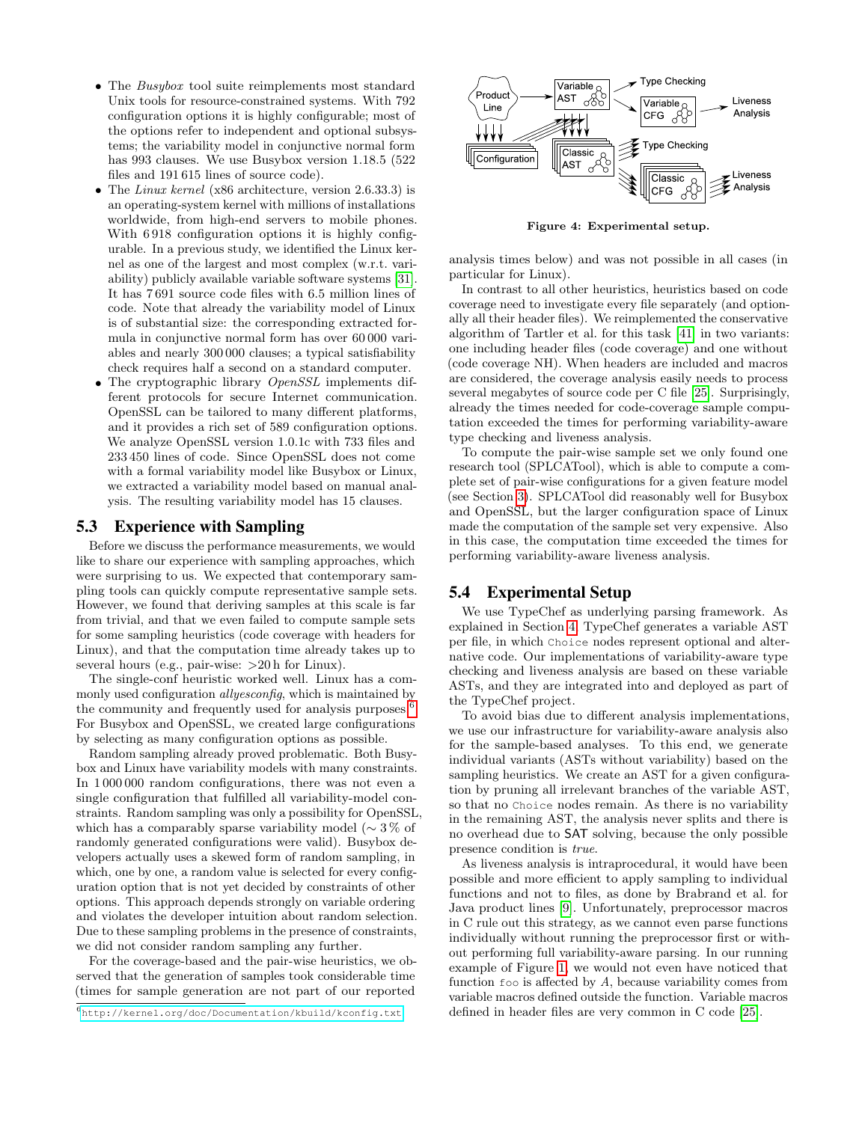- The Busybox tool suite reimplements most standard Unix tools for resource-constrained systems. With 792 configuration options it is highly configurable; most of the options refer to independent and optional subsystems; the variability model in conjunctive normal form has 993 clauses. We use Busybox version 1.18.5 (522 files and 191 615 lines of source code).
- The Linux kernel (x86 architecture, version 2.6.33.3) is an operating-system kernel with millions of installations worldwide, from high-end servers to mobile phones. With 6 918 configuration options it is highly configurable. In a previous study, we identified the Linux kernel as one of the largest and most complex (w.r.t. variability) publicly available variable software systems [\[31\]](#page-10-13). It has 7 691 source code files with 6.5 million lines of code. Note that already the variability model of Linux is of substantial size: the corresponding extracted formula in conjunctive normal form has over 60 000 variables and nearly 300 000 clauses; a typical satisfiability check requires half a second on a standard computer.
- The cryptographic library OpenSSL implements different protocols for secure Internet communication. OpenSSL can be tailored to many different platforms, and it provides a rich set of 589 configuration options. We analyze OpenSSL version 1.0.1c with 733 files and 233 450 lines of code. Since OpenSSL does not come with a formal variability model like Busybox or Linux, we extracted a variability model based on manual analysis. The resulting variability model has 15 clauses.

#### 5.3 Experience with Sampling

Before we discuss the performance measurements, we would like to share our experience with sampling approaches, which were surprising to us. We expected that contemporary sampling tools can quickly compute representative sample sets. However, we found that deriving samples at this scale is far from trivial, and that we even failed to compute sample sets for some sampling heuristics (code coverage with headers for Linux), and that the computation time already takes up to several hours (e.g., pair-wise:  $>20$  h for Linux).

The single-conf heuristic worked well. Linux has a commonly used configuration allyesconfig, which is maintained by the community and frequently used for analysis purposes.<sup>[6](#page-6-0)</sup> For Busybox and OpenSSL, we created large configurations by selecting as many configuration options as possible.

Random sampling already proved problematic. Both Busybox and Linux have variability models with many constraints. In 1 000 000 random configurations, there was not even a single configuration that fulfilled all variability-model constraints. Random sampling was only a possibility for OpenSSL, which has a comparably sparse variability model ( $\sim$  3% of randomly generated configurations were valid). Busybox developers actually uses a skewed form of random sampling, in which, one by one, a random value is selected for every configuration option that is not yet decided by constraints of other options. This approach depends strongly on variable ordering and violates the developer intuition about random selection. Due to these sampling problems in the presence of constraints, we did not consider random sampling any further.

For the coverage-based and the pair-wise heuristics, we observed that the generation of samples took considerable time (times for sample generation are not part of our reported



<span id="page-6-1"></span>Figure 4: Experimental setup.

analysis times below) and was not possible in all cases (in particular for Linux).

In contrast to all other heuristics, heuristics based on code coverage need to investigate every file separately (and optionally all their header files). We reimplemented the conservative algorithm of Tartler et al. for this task [\[41\]](#page-10-3) in two variants: one including header files (code coverage) and one without (code coverage NH). When headers are included and macros are considered, the coverage analysis easily needs to process several megabytes of source code per C file [\[25\]](#page-10-7). Surprisingly, already the times needed for code-coverage sample computation exceeded the times for performing variability-aware type checking and liveness analysis.

To compute the pair-wise sample set we only found one research tool (SPLCATool), which is able to compute a complete set of pair-wise configurations for a given feature model (see Section [3\)](#page-1-2). SPLCATool did reasonably well for Busybox and OpenSSL, but the larger configuration space of Linux made the computation of the sample set very expensive. Also in this case, the computation time exceeded the times for performing variability-aware liveness analysis.

#### <span id="page-6-2"></span>5.4 Experimental Setup

We use TypeChef as underlying parsing framework. As explained in Section [4,](#page-2-3) TypeChef generates a variable AST per file, in which Choice nodes represent optional and alternative code. Our implementations of variability-aware type checking and liveness analysis are based on these variable ASTs, and they are integrated into and deployed as part of the TypeChef project.

To avoid bias due to different analysis implementations, we use our infrastructure for variability-aware analysis also for the sample-based analyses. To this end, we generate individual variants (ASTs without variability) based on the sampling heuristics. We create an AST for a given configuration by pruning all irrelevant branches of the variable AST, so that no Choice nodes remain. As there is no variability in the remaining AST, the analysis never splits and there is no overhead due to SAT solving, because the only possible presence condition is true.

As liveness analysis is intraprocedural, it would have been possible and more efficient to apply sampling to individual functions and not to files, as done by Brabrand et al. for Java product lines [\[9\]](#page-9-4). Unfortunately, preprocessor macros in C rule out this strategy, as we cannot even parse functions individually without running the preprocessor first or without performing full variability-aware parsing. In our running example of Figure [1,](#page-1-0) we would not even have noticed that function  $f$  so is affected by  $A$ , because variability comes from variable macros defined outside the function. Variable macros defined in header files are very common in C code [\[25\]](#page-10-7).

<span id="page-6-0"></span><sup>6</sup><http://kernel.org/doc/Documentation/kbuild/kconfig.txt>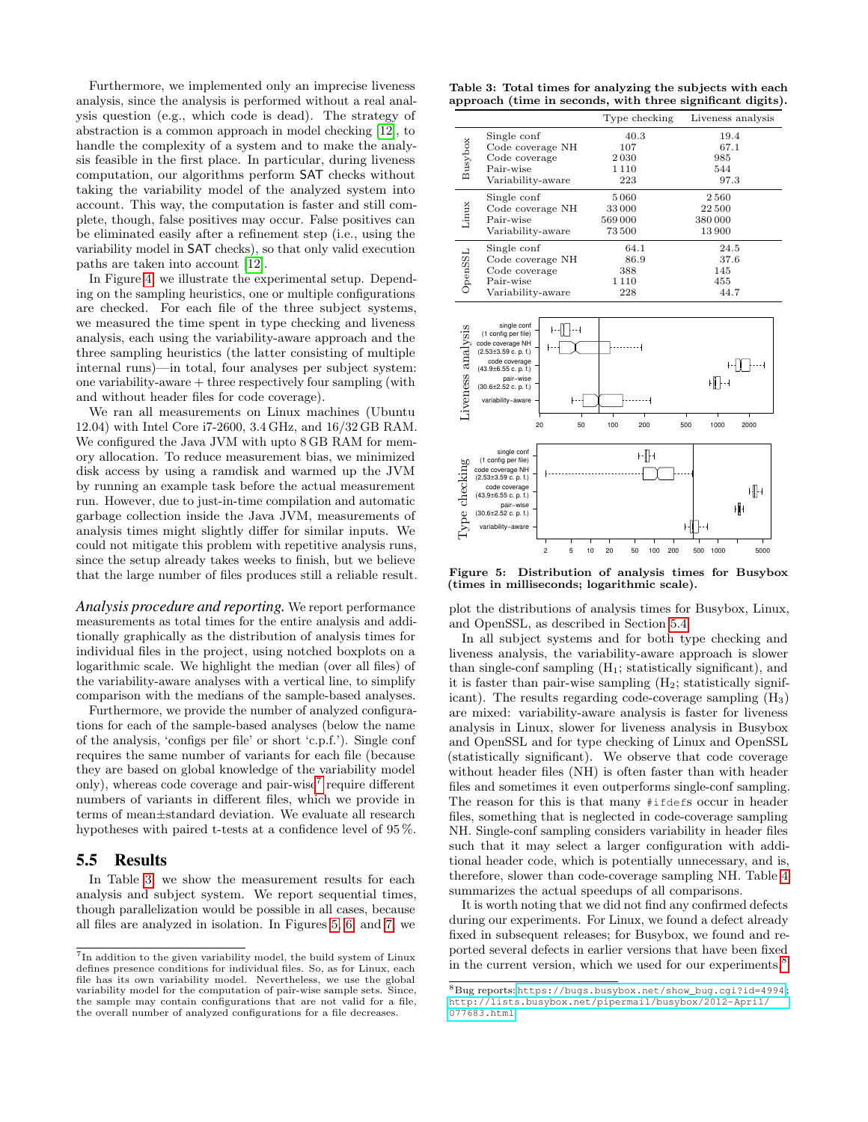Furthermore, we implemented only an imprecise liveness analysis, since the analysis is performed without a real analysis question (e.g., which code is dead). The strategy of abstraction is a common approach in model checking [\[12\]](#page-9-14), to handle the complexity of a system and to make the analysis feasible in the first place. In particular, during liveness computation, our algorithms perform SAT checks without taking the variability model of the analyzed system into account. This way, the computation is faster and still complete, though, false positives may occur. False positives can be eliminated easily after a refinement step (i.e., using the variability model in SAT checks), so that only valid execution paths are taken into account [\[12\]](#page-9-14).

In Figure [4,](#page-6-1) we illustrate the experimental setup. Depending on the sampling heuristics, one or multiple configurations are checked. For each file of the three subject systems, we measured the time spent in type checking and liveness analysis, each using the variability-aware approach and the three sampling heuristics (the latter consisting of multiple internal runs)—in total, four analyses per subject system: one variability-aware  $+$  three respectively four sampling (with and without header files for code coverage).

We ran all measurements on Linux machines (Ubuntu 12.04) with Intel Core i7-2600, 3.4 GHz, and 16/32 GB RAM. We configured the Java JVM with upto 8 GB RAM for memory allocation. To reduce measurement bias, we minimized disk access by using a ramdisk and warmed up the JVM by running an example task before the actual measurement run. However, due to just-in-time compilation and automatic garbage collection inside the Java JVM, measurements of analysis times might slightly differ for similar inputs. We could not mitigate this problem with repetitive analysis runs, since the setup already takes weeks to finish, but we believe that the large number of files produces still a reliable result.

*Analysis procedure and reporting.* We report performance measurements as total times for the entire analysis and additionally graphically as the distribution of analysis times for individual files in the project, using notched boxplots on a logarithmic scale. We highlight the median (over all files) of the variability-aware analyses with a vertical line, to simplify comparison with the medians of the sample-based analyses.

Furthermore, we provide the number of analyzed configurations for each of the sample-based analyses (below the name of the analysis, 'configs per file' or short 'c.p.f.'). Single conf requires the same number of variants for each file (because they are based on global knowledge of the variability model only), whereas code coverage and pair-wise<sup>[7](#page-7-0)</sup> require different numbers of variants in different files, which we provide in terms of mean±standard deviation. We evaluate all research hypotheses with paired t-tests at a confidence level of 95%.

# 5.5 Results

In Table [3,](#page-7-1) we show the measurement results for each analysis and subject system. We report sequential times, though parallelization would be possible in all cases, because all files are analyzed in isolation. In Figures [5,](#page-7-2) [6,](#page-8-1) and [7,](#page-8-2) we

<span id="page-7-1"></span>Table 3: Total times for analyzing the subjects with each approach (time in seconds, with three significant digits).

|         |                   | Type checking | Liveness analysis |
|---------|-------------------|---------------|-------------------|
| Busybox | Single conf       | 40.3          | 19.4              |
|         | Code coverage NH  | 107           | 67.1              |
|         | Code coverage     | 2030          | 985               |
|         | Pair-wise         | 1 1 1 0       | 544               |
|         | Variability-aware | 223           | 97.3              |
| Linux   | Single conf       | 5060          | 2560              |
|         | Code coverage NH  | 33 000        | 22 500            |
|         | Pair-wise         | 569000        | 380 000           |
|         | Variability-aware | 73500         | 13900             |
| OpenSSL | Single conf       | 64.1          | 24.5              |
|         | Code coverage NH  | 86.9          | 37.6              |
|         | Code coverage     | 388           | 145               |
|         | Pair-wise         | 1 1 1 0       | 455               |
|         | Variability-aware | 228           | 44.7              |



<span id="page-7-2"></span>Figure 5: Distribution of analysis times for Busybox (times in milliseconds; logarithmic scale).

plot the distributions of analysis times for Busybox, Linux, and OpenSSL, as described in Section [5.4.](#page-6-2)

In all subject systems and for both type checking and liveness analysis, the variability-aware approach is slower than single-conf sampling  $(H_1;$  statistically significant), and it is faster than pair-wise sampling  $(H_2;$  statistically significant). The results regarding code-coverage sampling  $(H_3)$ are mixed: variability-aware analysis is faster for liveness analysis in Linux, slower for liveness analysis in Busybox and OpenSSL and for type checking of Linux and OpenSSL (statistically significant). We observe that code coverage without header files (NH) is often faster than with header files and sometimes it even outperforms single-conf sampling. The reason for this is that many #ifdefs occur in header files, something that is neglected in code-coverage sampling NH. Single-conf sampling considers variability in header files such that it may select a larger configuration with additional header code, which is potentially unnecessary, and is, therefore, slower than code-coverage sampling NH. Table [4](#page-8-3) summarizes the actual speedups of all comparisons.

It is worth noting that we did not find any confirmed defects during our experiments. For Linux, we found a defect already fixed in subsequent releases; for Busybox, we found and reported several defects in earlier versions that have been fixed in the current version, which we used for our experiments. $8$ 

<span id="page-7-0"></span><sup>&</sup>lt;sup>7</sup>In addition to the given variability model, the build system of Linux defines presence conditions for individual files. So, as for Linux, each file has its own variability model. Nevertheless, we use the global variability model for the computation of pair-wise sample sets. Since, the sample may contain configurations that are not valid for a file, the overall number of analyzed configurations for a file decreases.

<span id="page-7-3"></span><sup>8</sup>Bug reports: [https://bugs.busybox.net/show\\_bug.cgi?id=4994](https://bugs.busybox.net/show_bug.cgi?id=4994) ; [http://lists.busybox.net/pipermail/busybox/2012-April/](http://lists.busybox.net/pipermail/busybox/2012-April/077683.html) [077683.html](http://lists.busybox.net/pipermail/busybox/2012-April/077683.html)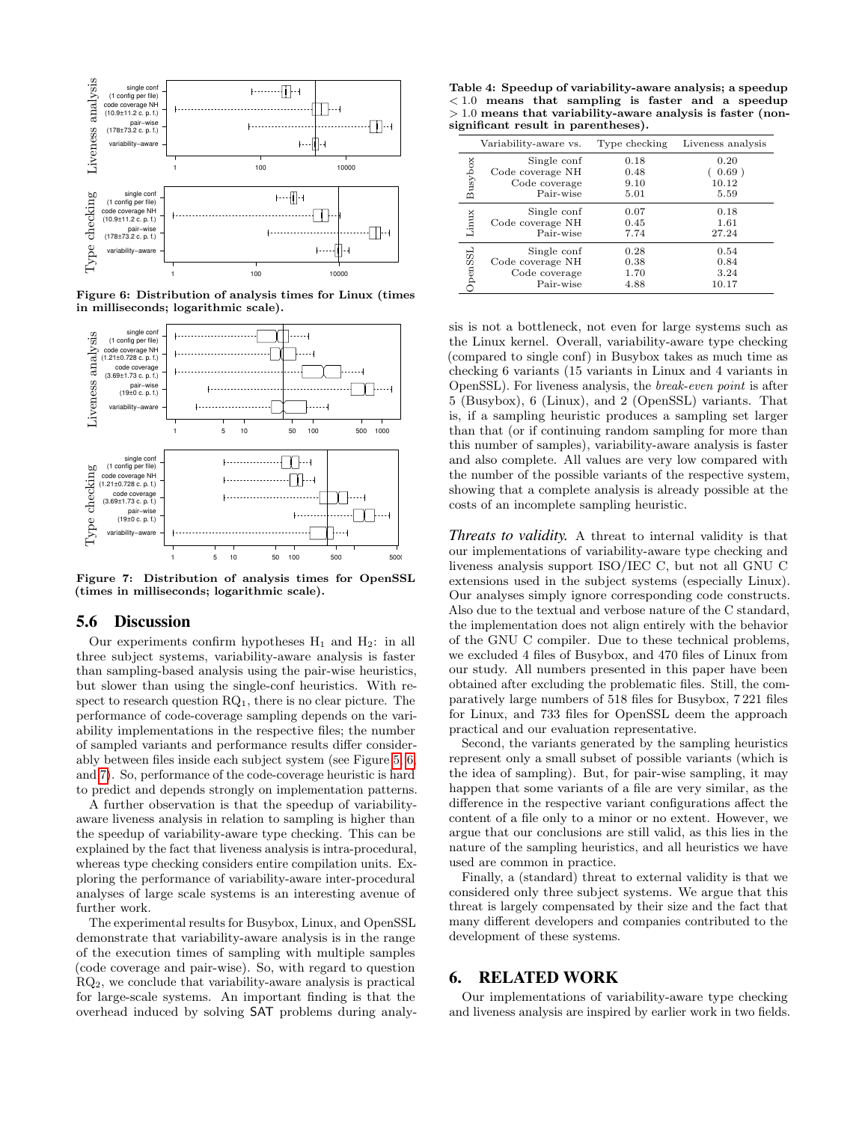

<span id="page-8-1"></span>Figure 6: Distribution of analysis times for Linux (times in milliseconds; logarithmic scale).



<span id="page-8-2"></span>Figure 7: Distribution of analysis times for OpenSSL (times in milliseconds; logarithmic scale).

## 5.6 Discussion

Our experiments confirm hypotheses  $H_1$  and  $H_2$ : in all three subject systems, variability-aware analysis is faster than sampling-based analysis using the pair-wise heuristics, but slower than using the single-conf heuristics. With respect to research question RQ1, there is no clear picture. The performance of code-coverage sampling depends on the variability implementations in the respective files; the number of sampled variants and performance results differ considerably between files inside each subject system (see Figure [5,](#page-7-2) [6,](#page-8-1) and [7\)](#page-8-2). So, performance of the code-coverage heuristic is hard to predict and depends strongly on implementation patterns.

A further observation is that the speedup of variabilityaware liveness analysis in relation to sampling is higher than the speedup of variability-aware type checking. This can be explained by the fact that liveness analysis is intra-procedural, whereas type checking considers entire compilation units. Exploring the performance of variability-aware inter-procedural analyses of large scale systems is an interesting avenue of further work.

The experimental results for Busybox, Linux, and OpenSSL demonstrate that variability-aware analysis is in the range of the execution times of sampling with multiple samples (code coverage and pair-wise). So, with regard to question RQ2, we conclude that variability-aware analysis is practical for large-scale systems. An important finding is that the overhead induced by solving SAT problems during analy-

<span id="page-8-3"></span>Table 4: Speedup of variability-aware analysis; a speedup  $<$  1.0 means that sampling is faster and a speedup  $> 1.0$  means that variability-aware analysis is faster (nonsignificant result in parentheses).

| Variability-aware vs. |                  | Type checking | Liveness analysis |
|-----------------------|------------------|---------------|-------------------|
| Busybox               | Single conf      | 0.18          | 0.20              |
|                       | Code coverage NH | 0.48          | 0.69)             |
|                       | Code coverage    | 9.10          | 10.12             |
|                       | Pair-wise        | 5.01          | 5.59              |
| Linux                 | Single conf      | 0.07          | 0.18              |
|                       | Code coverage NH | 0.45          | 1.61              |
|                       | Pair-wise        | 7.74          | 27.24             |
| OpenSSL               | Single conf      | 0.28          | 0.54              |
|                       | Code coverage NH | 0.38          | 0.84              |
|                       | Code coverage    | 1.70          | 3.24              |
|                       | Pair-wise        | 4.88          | 10.17             |

sis is not a bottleneck, not even for large systems such as the Linux kernel. Overall, variability-aware type checking (compared to single conf) in Busybox takes as much time as checking 6 variants (15 variants in Linux and 4 variants in OpenSSL). For liveness analysis, the break-even point is after 5 (Busybox), 6 (Linux), and 2 (OpenSSL) variants. That is, if a sampling heuristic produces a sampling set larger than that (or if continuing random sampling for more than this number of samples), variability-aware analysis is faster and also complete. All values are very low compared with the number of the possible variants of the respective system, showing that a complete analysis is already possible at the costs of an incomplete sampling heuristic.

*Threats to validity.* A threat to internal validity is that our implementations of variability-aware type checking and liveness analysis support ISO/IEC C, but not all GNU C extensions used in the subject systems (especially Linux). Our analyses simply ignore corresponding code constructs. Also due to the textual and verbose nature of the C standard, the implementation does not align entirely with the behavior of the GNU C compiler. Due to these technical problems, we excluded 4 files of Busybox, and 470 files of Linux from our study. All numbers presented in this paper have been obtained after excluding the problematic files. Still, the comparatively large numbers of 518 files for Busybox, 7 221 files for Linux, and 733 files for OpenSSL deem the approach practical and our evaluation representative.

Second, the variants generated by the sampling heuristics represent only a small subset of possible variants (which is the idea of sampling). But, for pair-wise sampling, it may happen that some variants of a file are very similar, as the difference in the respective variant configurations affect the content of a file only to a minor or no extent. However, we argue that our conclusions are still valid, as this lies in the nature of the sampling heuristics, and all heuristics we have used are common in practice.

Finally, a (standard) threat to external validity is that we considered only three subject systems. We argue that this threat is largely compensated by their size and the fact that many different developers and companies contributed to the development of these systems.

#### <span id="page-8-0"></span>6. RELATED WORK

Our implementations of variability-aware type checking and liveness analysis are inspired by earlier work in two fields.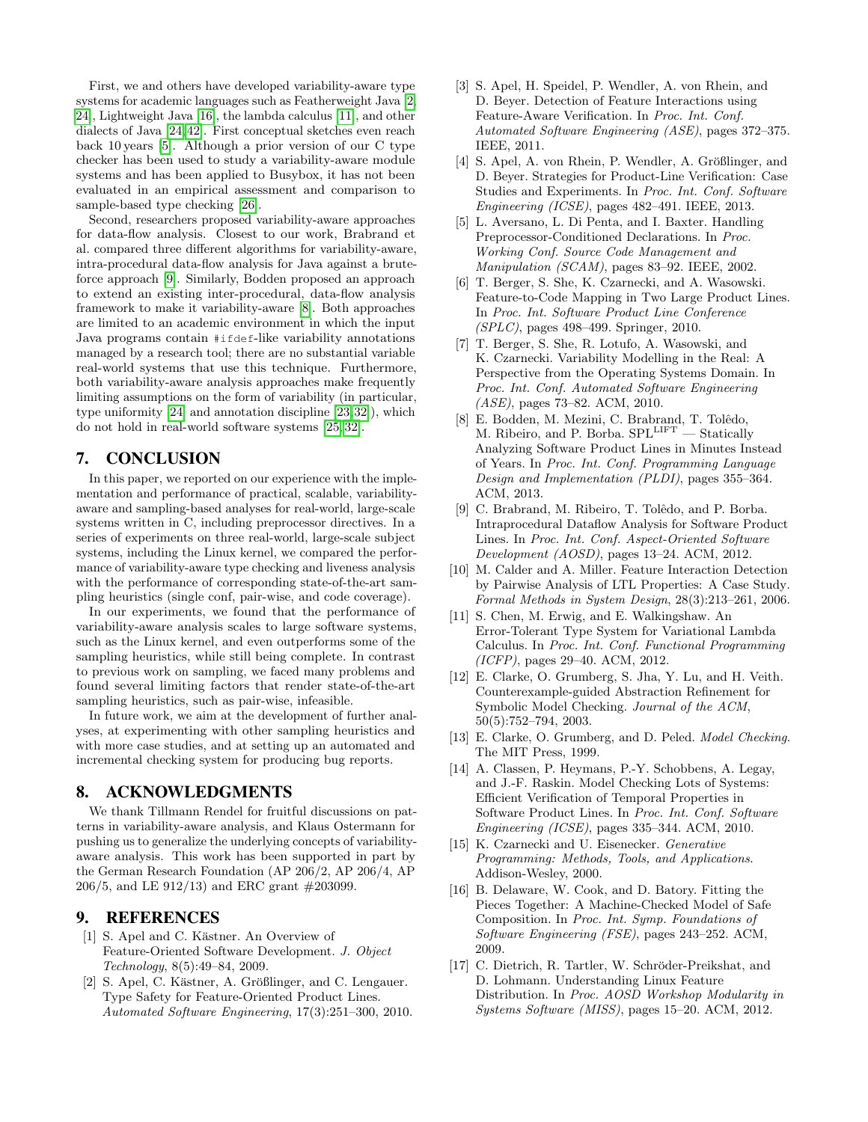First, we and others have developed variability-aware type systems for academic languages such as Featherweight Java [\[2,](#page-9-2) [24\]](#page-10-8), Lightweight Java [\[16\]](#page-9-15), the lambda calculus [\[11\]](#page-9-16), and other dialects of Java [\[24,](#page-10-8) [42\]](#page-10-10). First conceptual sketches even reach back 10 years [\[5\]](#page-9-12). Although a prior version of our C type checker has been used to study a variability-aware module systems and has been applied to Busybox, it has not been evaluated in an empirical assessment and comparison to sample-based type checking [\[26\]](#page-10-9).

Second, researchers proposed variability-aware approaches for data-flow analysis. Closest to our work, Brabrand et al. compared three different algorithms for variability-aware, intra-procedural data-flow analysis for Java against a bruteforce approach [\[9\]](#page-9-4). Similarly, Bodden proposed an approach to extend an existing inter-procedural, data-flow analysis framework to make it variability-aware [\[8\]](#page-9-3). Both approaches are limited to an academic environment in which the input Java programs contain #ifdef-like variability annotations managed by a research tool; there are no substantial variable real-world systems that use this technique. Furthermore, both variability-aware analysis approaches make frequently limiting assumptions on the form of variability (in particular, type uniformity [\[24\]](#page-10-8) and annotation discipline [\[23,](#page-10-28)[32\]](#page-10-29)), which do not hold in real-world software systems [\[25,](#page-10-7) [32\]](#page-10-29).

# 7. CONCLUSION

In this paper, we reported on our experience with the implementation and performance of practical, scalable, variabilityaware and sampling-based analyses for real-world, large-scale systems written in C, including preprocessor directives. In a series of experiments on three real-world, large-scale subject systems, including the Linux kernel, we compared the performance of variability-aware type checking and liveness analysis with the performance of corresponding state-of-the-art sampling heuristics (single conf, pair-wise, and code coverage).

In our experiments, we found that the performance of variability-aware analysis scales to large software systems, such as the Linux kernel, and even outperforms some of the sampling heuristics, while still being complete. In contrast to previous work on sampling, we faced many problems and found several limiting factors that render state-of-the-art sampling heuristics, such as pair-wise, infeasible.

In future work, we aim at the development of further analyses, at experimenting with other sampling heuristics and with more case studies, and at setting up an automated and incremental checking system for producing bug reports.

# 8. ACKNOWLEDGMENTS

We thank Tillmann Rendel for fruitful discussions on patterns in variability-aware analysis, and Klaus Ostermann for pushing us to generalize the underlying concepts of variabilityaware analysis. This work has been supported in part by the German Research Foundation (AP 206/2, AP 206/4, AP 206/5, and LE 912/13) and ERC grant #203099.

## 9. REFERENCES

- <span id="page-9-0"></span>[1] S. Apel and C. Kästner. An Overview of Feature-Oriented Software Development. J. Object Technology, 8(5):49–84, 2009.
- <span id="page-9-2"></span>[2] S. Apel, C. Kästner, A. Größlinger, and C. Lengauer. Type Safety for Feature-Oriented Product Lines. Automated Software Engineering, 17(3):251–300, 2010.
- <span id="page-9-5"></span>[3] S. Apel, H. Speidel, P. Wendler, A. von Rhein, and D. Beyer. Detection of Feature Interactions using Feature-Aware Verification. In Proc. Int. Conf. Automated Software Engineering (ASE), pages 372–375. IEEE, 2011.
- <span id="page-9-6"></span>[4] S. Apel, A. von Rhein, P. Wendler, A. Größlinger, and D. Beyer. Strategies for Product-Line Verification: Case Studies and Experiments. In Proc. Int. Conf. Software Engineering (ICSE), pages 482–491. IEEE, 2013.
- <span id="page-9-12"></span>[5] L. Aversano, L. Di Penta, and I. Baxter. Handling Preprocessor-Conditioned Declarations. In Proc. Working Conf. Source Code Management and Manipulation (SCAM), pages 83–92. IEEE, 2002.
- <span id="page-9-10"></span>[6] T. Berger, S. She, K. Czarnecki, and A. Wasowski. Feature-to-Code Mapping in Two Large Product Lines. In Proc. Int. Software Product Line Conference (SPLC), pages 498–499. Springer, 2010.
- <span id="page-9-11"></span>[7] T. Berger, S. She, R. Lotufo, A. Wasowski, and K. Czarnecki. Variability Modelling in the Real: A Perspective from the Operating Systems Domain. In Proc. Int. Conf. Automated Software Engineering (ASE), pages 73–82. ACM, 2010.
- <span id="page-9-3"></span>[8] E. Bodden, M. Mezini, C. Brabrand, T. Tolêdo, M. Ribeiro, and P. Borba. SPL<sup>LIFT</sup> — Statically Analyzing Software Product Lines in Minutes Instead of Years. In Proc. Int. Conf. Programming Language Design and Implementation (PLDI), pages 355–364. ACM, 2013.
- <span id="page-9-4"></span>[9] C. Brabrand, M. Ribeiro, T. Tolêdo, and P. Borba. Intraprocedural Dataflow Analysis for Software Product Lines. In Proc. Int. Conf. Aspect-Oriented Software Development (AOSD), pages 13–24. ACM, 2012.
- <span id="page-9-9"></span>[10] M. Calder and A. Miller. Feature Interaction Detection by Pairwise Analysis of LTL Properties: A Case Study. Formal Methods in System Design, 28(3):213–261, 2006.
- <span id="page-9-16"></span>[11] S. Chen, M. Erwig, and E. Walkingshaw. An Error-Tolerant Type System for Variational Lambda Calculus. In Proc. Int. Conf. Functional Programming (ICFP), pages 29–40. ACM, 2012.
- <span id="page-9-14"></span>[12] E. Clarke, O. Grumberg, S. Jha, Y. Lu, and H. Veith. Counterexample-guided Abstraction Refinement for Symbolic Model Checking. Journal of the ACM, 50(5):752–794, 2003.
- <span id="page-9-13"></span>[13] E. Clarke, O. Grumberg, and D. Peled. *Model Checking*. The MIT Press, 1999.
- <span id="page-9-7"></span>[14] A. Classen, P. Heymans, P.-Y. Schobbens, A. Legay, and J.-F. Raskin. Model Checking Lots of Systems: Efficient Verification of Temporal Properties in Software Product Lines. In Proc. Int. Conf. Software Engineering (ICSE), pages 335–344. ACM, 2010.
- <span id="page-9-1"></span>[15] K. Czarnecki and U. Eisenecker. Generative Programming: Methods, Tools, and Applications. Addison-Wesley, 2000.
- <span id="page-9-15"></span>[16] B. Delaware, W. Cook, and D. Batory. Fitting the Pieces Together: A Machine-Checked Model of Safe Composition. In Proc. Int. Symp. Foundations of Software Engineering (FSE), pages 243–252. ACM, 2009.
- <span id="page-9-8"></span>[17] C. Dietrich, R. Tartler, W. Schröder-Preikshat, and D. Lohmann. Understanding Linux Feature Distribution. In Proc. AOSD Workshop Modularity in Systems Software (MISS), pages 15–20. ACM, 2012.